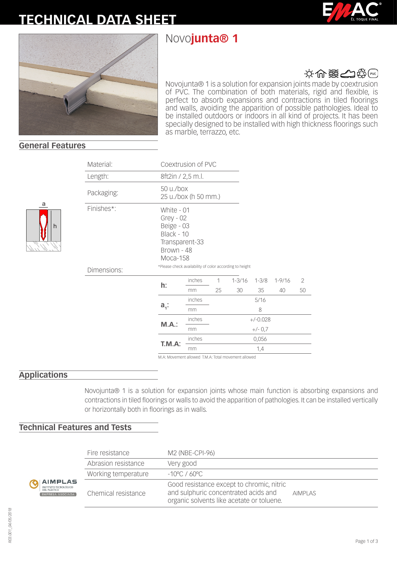# **TECHNICAL DATA SHEET**

# Novo**junta® 1**





## 文令器台袋

Novojunta® 1 is a solution for expansion joints made by coextrusion of PVC. The combination of both materials, rigid and flexible, is perfect to absorb expansions and contractions in tiled floorings and walls, avoiding the apparition of possible pathologies. Ideal to be installed outdoors or indoors in all kind of projects. It has been specially designed to be installed with high thickness floorings such as marble, terrazzo, etc.

#### **General Features**

h

a

| Material:   |                                                                                                   | Coextrusion of PVC   |            |            |           |            |    |  |
|-------------|---------------------------------------------------------------------------------------------------|----------------------|------------|------------|-----------|------------|----|--|
| Length:     | 8ft2in / 2,5 m.l.                                                                                 |                      |            |            |           |            |    |  |
| Packaging:  | 50 u./box                                                                                         | 25 u./box (h 50 mm.) |            |            |           |            |    |  |
| Finishes*:  | White - 01<br>$Grey - 02$<br>Beige - 03<br>Black - 10<br>Transparent-33<br>Brown - 48<br>Moca-158 |                      |            |            |           |            |    |  |
| Dimensions: | *Please check availability of color according to height                                           |                      |            |            |           |            |    |  |
|             |                                                                                                   | inches               | 1          | $1 - 3/16$ | $1 - 3/8$ | $1 - 9/16$ | 2  |  |
|             | h:                                                                                                | mm                   | 25         | 30         | 35        | 40         | 50 |  |
|             |                                                                                                   | inches               |            | 5/16       |           |            |    |  |
|             | $a_i$ :                                                                                           | mm                   | 8          |            |           |            |    |  |
|             | M.A.:                                                                                             | inches               | $+/-0.028$ |            |           |            |    |  |
|             |                                                                                                   | mm                   | $+/- 0.7$  |            |           |            |    |  |
|             | T.M.A:                                                                                            | inches               | 0,056      |            |           |            |    |  |
|             |                                                                                                   | mm                   | 1,4        |            |           |            |    |  |
|             | M A: Movement allowed TM A: Total movement allowed                                                |                      |            |            |           |            |    |  |

M.A: Movement allowed T.M.A: Total movement allowed

#### **Applications**

Novojunta® 1 is a solution for expansion joints whose main function is absorbing expansions and contractions in tiled floorings or walls to avoid the apparition of pathologies. It can be installed vertically or horizontally both in floorings as in walls.

### **Technical Features and Tests**

|                                                                                    | Fire resistance     | M2 (NBE-CPI-96)                                                                                                                |                |  |  |
|------------------------------------------------------------------------------------|---------------------|--------------------------------------------------------------------------------------------------------------------------------|----------------|--|--|
| <b>AIMPLAS</b><br>INSTITUTO TECNOLÓGICO<br>DEL PLÁSTICO<br><b>EMPRESA ASOCIADA</b> | Abrasion resistance | Very good                                                                                                                      |                |  |  |
|                                                                                    | Working temperature | $-10^{\circ}$ C / 60°C –                                                                                                       |                |  |  |
|                                                                                    | Chemical resistance | Good resistance except to chromic, nitric<br>and sulphuric concentrated acids and<br>organic solvents like acetate or toluene. | <b>AIMPLAS</b> |  |  |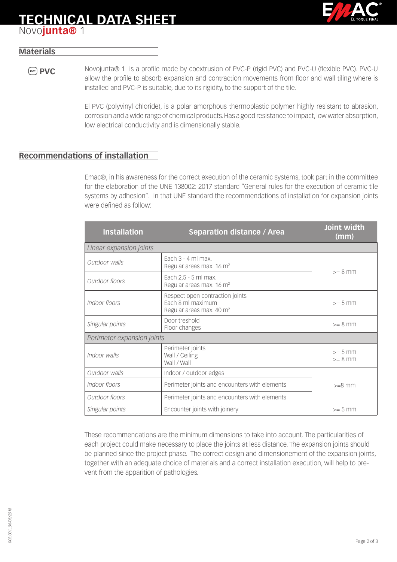# **TECHNICAL DATA SHEET**



## Novo**junta®** 1

#### **Materials**

**PVC** Novojunta® 1 is a profile made by coextrusion of PVC-P (rigid PVC) and PVC-U (flexible PVC). PVC-U allow the profile to absorb expansion and contraction movements from floor and wall tiling where is installed and PVC-P is suitable, due to its rigidity, to the support of the tile.

> El PVC (polyvinyl chloride), is a polar amorphous thermoplastic polymer highly resistant to abrasion, corrosion and a wide range of chemical products. Has a good resistance to impact, low water absorption, low electrical conductivity and is dimensionally stable.

#### **Recommendations of installation**

Emac®, in his awareness for the correct execution of the ceramic systems, took part in the committee for the elaboration of the UNE 138002: 2017 standard "General rules for the execution of ceramic tile systems by adhesion". In that UNE standard the recommendations of installation for expansion joints were defined as follow:

| <b>Installation</b>                                                            | <b>Separation distance / Area</b>                                                            | Joint width<br>(mm)    |  |  |  |  |
|--------------------------------------------------------------------------------|----------------------------------------------------------------------------------------------|------------------------|--|--|--|--|
| Linear expansion joints                                                        |                                                                                              |                        |  |  |  |  |
| Outdoor walls                                                                  | Fach $3 - 4$ ml max.<br>Regular areas max. 16 m <sup>2</sup>                                 | $>= 8$ mm              |  |  |  |  |
| Each 2,5 - 5 ml max.<br>Outdoor floors<br>Regular areas max. 16 m <sup>2</sup> |                                                                                              |                        |  |  |  |  |
| Indoor floors                                                                  | Respect open contraction joints<br>Each 8 ml maximum<br>Regular areas max. 40 m <sup>2</sup> | $>= 5$ mm              |  |  |  |  |
| Singular points                                                                | Door treshold<br>Floor changes                                                               | $>= 8$ mm              |  |  |  |  |
| Perimeter expansion joints                                                     |                                                                                              |                        |  |  |  |  |
| Indoor walls                                                                   | Perimeter joints<br>Wall / Ceiling<br>Wall / Wall                                            | $>= 5$ mm<br>$>= 8$ mm |  |  |  |  |
| Outdoor walls                                                                  | Indoor / outdoor edges                                                                       |                        |  |  |  |  |
| Indoor floors<br>Perimeter joints and encounters with elements                 |                                                                                              | $>=8$ mm               |  |  |  |  |
| Outdoor floors                                                                 | Perimeter joints and encounters with elements                                                |                        |  |  |  |  |
| Singular points                                                                | Encounter joints with joinery                                                                | $>= 5$ mm              |  |  |  |  |

These recommendations are the minimum dimensions to take into account. The particularities of each project could make necessary to place the joints at less distance. The expansion joints should be planned since the project phase. The correct design and dimensionement of the expansion joints, together with an adequate choice of materials and a correct installation execution, will help to prevent from the apparition of pathologies.